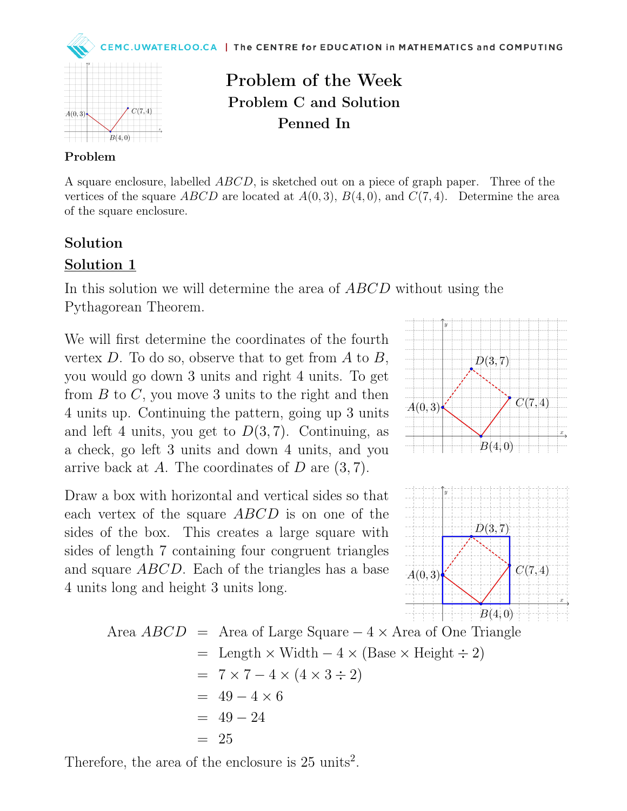



Problem of the Week Problem C and Solution Penned In

## Problem

A square enclosure, labelled ABCD, is sketched out on a piece of graph paper. Three of the vertices of the square ABCD are located at  $A(0,3)$ ,  $B(4,0)$ , and  $C(7,4)$ . Determine the area of the square enclosure.

## Solution

## Solution 1

In this solution we will determine the area of ABCD without using the Pythagorean Theorem.

We will first determine the coordinates of the fourth vertex  $D$ . To do so, observe that to get from  $A$  to  $B$ , you would go down 3 units and right 4 units. To get from  $B$  to  $C$ , you move 3 units to the right and then 4 units up. Continuing the pattern, going up 3 units and left 4 units, you get to  $D(3, 7)$ . Continuing, as a check, go left 3 units and down 4 units, and you arrive back at A. The coordinates of  $D$  are  $(3, 7)$ .

Draw a box with horizontal and vertical sides so that each vertex of the square ABCD is on one of the sides of the box. This creates a large square with sides of length 7 containing four congruent triangles and square ABCD. Each of the triangles has a base 4 units long and height 3 units long.





Area *ABCD* = Area of Large Square 
$$
-4 \times
$$
 Area of One Triangle  
\n= Length × Width  $-4 \times$  (Base × Height ÷ 2)  
\n=  $7 \times 7 - 4 \times (4 \times 3 \div 2)$   
\n=  $49 - 4 \times 6$   
\n=  $49 - 24$   
\n= 25

Therefore, the area of the enclosure is  $25 \text{ units}^2$ .